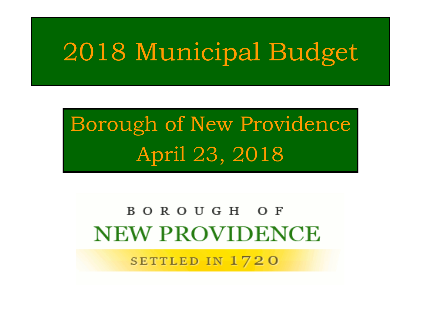# 2018 Municipal Budget

# Borough of New Providence April 23, 2018

#### BOROUGH OF **NEW PROVIDENCE**

SETTLED IN 1720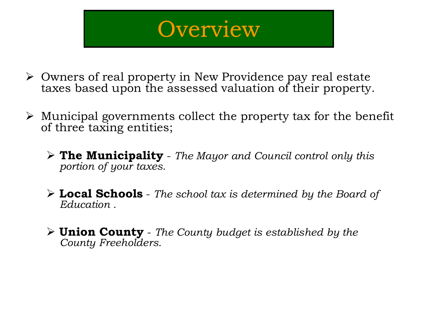### **Overview**

- Owners of real property in New Providence pay real estate taxes based upon the assessed valuation of their property.
- $\triangleright$  Municipal governments collect the property tax for the benefit of three taxing entities;
	- **The Municipality** *The Mayor and Council control only this portion of your taxes.*
	- **Local Schools** *The school tax is determined by the Board of Education .*
	- **Union County** *The County budget is established by the County Freeholders.*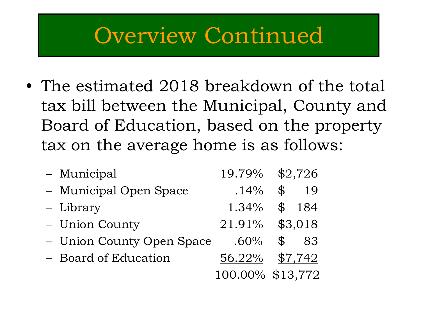#### Overview Continued

• The estimated 2018 breakdown of the total tax bill between the Municipal, County and Board of Education, based on the property tax on the average home is as follows:

| - Municipal               | 19.79%           |                | \$2,726 |
|---------------------------|------------------|----------------|---------|
| - Municipal Open Space    | .14%             | $\mathfrak{P}$ | 19      |
| - Library                 | 1.34%            | $\mathbb{S}$   | 184     |
| - Union County            | 21.91% \$3,018   |                |         |
| - Union County Open Space | $.60\%$          | $\mathcal{L}$  | 83      |
| - Board of Education      | 56.22%           |                | \$7,742 |
|                           | 100.00% \$13,772 |                |         |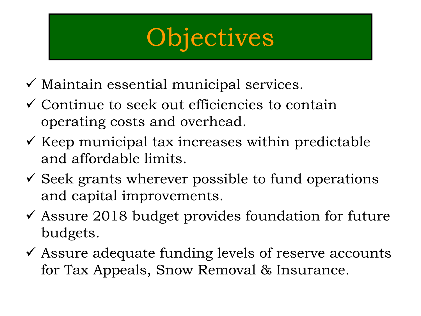# **Objectives**

- $\checkmark$  Maintain essential municipal services.
- $\checkmark$  Continue to seek out efficiencies to contain operating costs and overhead.
- $\checkmark$  Keep municipal tax increases within predictable and affordable limits.
- $\checkmark$  Seek grants wherever possible to fund operations and capital improvements.
- $\checkmark$  Assure 2018 budget provides foundation for future budgets.
- $\checkmark$  Assure adequate funding levels of reserve accounts for Tax Appeals, Snow Removal & Insurance.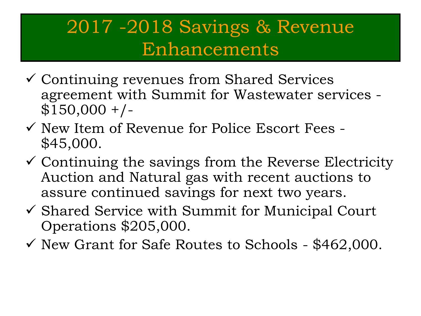#### 2017 -2018 Savings & Revenue Enhancements

- Continuing revenues from Shared Services agreement with Summit for Wastewater services -  $$150,000 +/-$
- $\checkmark$  New Item of Revenue for Police Escort Fees -\$45,000.
- $\checkmark$  Continuing the savings from the Reverse Electricity Auction and Natural gas with recent auctions to assure continued savings for next two years.
- $\checkmark$  Shared Service with Summit for Municipal Court Operations \$205,000.
- $\checkmark$  New Grant for Safe Routes to Schools \$462,000.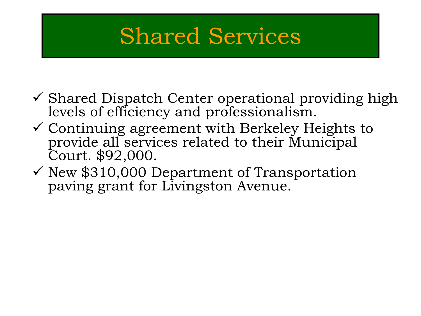## Shared Services

- $\checkmark$  Shared Dispatch Center operational providing high levels of efficiency and professionalism.
- $\checkmark$  Continuing agreement with Berkeley Heights to provide all services related to their Municipal Court. \$92,000.
- $\checkmark$  New \$310,000 Department of Transportation paving grant for Livingston Avenue.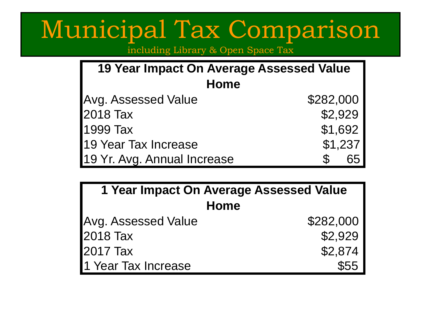# Municipal Tax Comparison

including Library & Open Space Tax

| 19 Year Impact On Average Assessed Value |           |  |  |  |  |
|------------------------------------------|-----------|--|--|--|--|
| <b>Home</b>                              |           |  |  |  |  |
| <b>Avg. Assessed Value</b>               | \$282,000 |  |  |  |  |
| 2018 Tax                                 | \$2,929   |  |  |  |  |
| 1999 Tax                                 | \$1,692   |  |  |  |  |
| 19 Year Tax Increase                     | \$1,237   |  |  |  |  |
| 19 Yr. Avg. Annual Increase              | 65        |  |  |  |  |

| 1 Year Impact On Average Assessed Value |           |  |  |  |
|-----------------------------------------|-----------|--|--|--|
| <b>Home</b>                             |           |  |  |  |
| Avg. Assessed Value                     | \$282,000 |  |  |  |
| <b>2018 Tax</b>                         | \$2,929   |  |  |  |
| <b>2017 Tax</b>                         | \$2,874   |  |  |  |
| 1 Year Tax Increase                     | \$55      |  |  |  |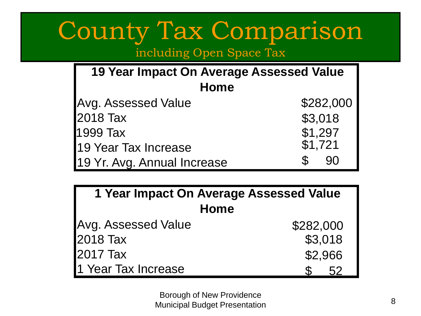# County Tax Comparison

including Open Space Tax

| 19 Year Impact On Average Assessed Value |                     |  |  |  |  |
|------------------------------------------|---------------------|--|--|--|--|
| Home                                     |                     |  |  |  |  |
| <b>Avg. Assessed Value</b>               | \$282,000           |  |  |  |  |
| 2018 Tax                                 | \$3,018             |  |  |  |  |
| 1999 Tax                                 | \$1,297<br>\$1,721  |  |  |  |  |
| 19 Year Tax Increase                     |                     |  |  |  |  |
| 19 Yr. Avg. Annual Increase              | $\mathcal{L}$<br>90 |  |  |  |  |

| 1 Year Impact On Average Assessed Value |           |  |  |  |  |
|-----------------------------------------|-----------|--|--|--|--|
| <b>Home</b>                             |           |  |  |  |  |
| Avg. Assessed Value                     | \$282,000 |  |  |  |  |
| 2018 Tax                                | \$3,018   |  |  |  |  |
| 2017 Tax                                | \$2,966   |  |  |  |  |
| 1 Year Tax Increase                     | 52        |  |  |  |  |

Borough of New Providence Municipal Budget Presentation 8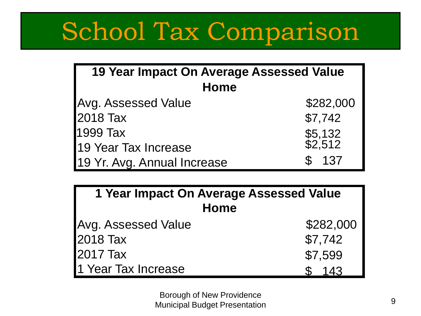# School Tax Comparison

| 19 Year Impact On Average Assessed Value |                    |  |  |  |  |
|------------------------------------------|--------------------|--|--|--|--|
| Home                                     |                    |  |  |  |  |
| <b>Avg. Assessed Value</b>               | \$282,000          |  |  |  |  |
| 2018 Tax                                 | \$7,742            |  |  |  |  |
| 1999 Tax                                 | \$5,132<br>\$2,512 |  |  |  |  |
| 19 Year Tax Increase                     |                    |  |  |  |  |
| 19 Yr. Avg. Annual Increase              | \$137              |  |  |  |  |

| 1 Year Impact On Average Assessed Value<br>Home |         |  |  |  |  |
|-------------------------------------------------|---------|--|--|--|--|
| \$282,000<br><b>Avg. Assessed Value</b>         |         |  |  |  |  |
| <b>2018 Tax</b>                                 | \$7,742 |  |  |  |  |
| <b>2017 Tax</b>                                 | \$7,599 |  |  |  |  |
| 1 Year Tax Increase                             | 143     |  |  |  |  |

Borough of New Providence Municipal Budget Presentation 8 and 1991 and 1992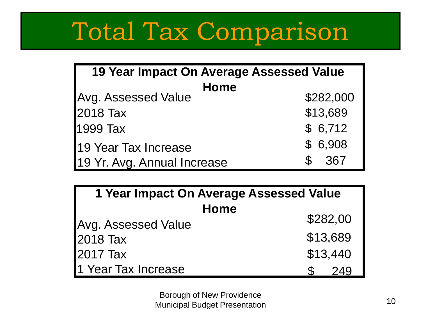# Total Tax Comparison

| <b>19 Year Impact On Average Assessed Value</b> |                      |  |  |  |
|-------------------------------------------------|----------------------|--|--|--|
| <b>Home</b>                                     |                      |  |  |  |
| <b>Avg. Assessed Value</b>                      | \$282,000            |  |  |  |
| 2018 Tax                                        | \$13,689             |  |  |  |
| 1999 Tax                                        | \$6,712              |  |  |  |
| 19 Year Tax Increase                            | \$6,908              |  |  |  |
| 19 Yr. Avg. Annual Increase                     | 367<br>$\mathcal{S}$ |  |  |  |

| 1 Year Impact On Average Assessed Value |          |  |  |  |  |  |
|-----------------------------------------|----------|--|--|--|--|--|
| <b>Home</b>                             |          |  |  |  |  |  |
| <b>Avg. Assessed Value</b>              | \$282,00 |  |  |  |  |  |
| 2018 Tax                                | \$13,689 |  |  |  |  |  |
| 2017 Tax                                | \$13,440 |  |  |  |  |  |
| 1 Year Tax Increase                     |          |  |  |  |  |  |

Borough of New Providence **Municipal Budget Presentation** 10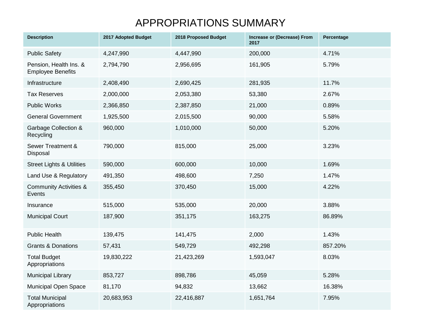#### APPROPRIATIONS SUMMARY

| <b>Description</b>                                 | 2017 Adopted Budget | 2018 Proposed Budget | Increase or (Decrease) From<br>2017 | Percentage |
|----------------------------------------------------|---------------------|----------------------|-------------------------------------|------------|
| <b>Public Safety</b>                               | 4,247,990           | 4,447,990            | 200,000                             | 4.71%      |
| Pension, Health Ins. &<br><b>Employee Benefits</b> | 2,794,790           | 2,956,695            | 161,905                             | 5.79%      |
| Infrastructure                                     | 2,408,490           | 2,690,425            | 281,935                             | 11.7%      |
| <b>Tax Reserves</b>                                | 2,000,000           | 2,053,380            | 53,380                              | 2.67%      |
| <b>Public Works</b>                                | 2,366,850           | 2,387,850            | 21,000                              | 0.89%      |
| <b>General Government</b>                          | 1,925,500           | 2,015,500            | 90,000                              | 5.58%      |
| <b>Garbage Collection &amp;</b><br>Recycling       | 960,000             | 1,010,000            | 50,000                              | 5.20%      |
| Sewer Treatment &<br>Disposal                      | 790,000             | 815,000              | 25,000                              | 3.23%      |
| <b>Street Lights &amp; Utilities</b>               | 590,000             | 600,000              | 10,000                              | 1.69%      |
| Land Use & Regulatory                              | 491,350             | 498,600              | 7,250                               | 1.47%      |
| <b>Community Activities &amp;</b><br>Events        | 355,450             | 370,450              | 15,000                              | 4.22%      |
| Insurance                                          | 515,000             | 535,000              | 20,000                              | 3.88%      |
| <b>Municipal Court</b>                             | 187,900             | 351,175              | 163,275                             | 86.89%     |
| <b>Public Health</b>                               | 139,475             | 141,475              | 2,000                               | 1.43%      |
| <b>Grants &amp; Donations</b>                      | 57,431              | 549,729              | 492,298                             | 857.20%    |
| <b>Total Budget</b><br>Appropriations              | 19,830,222          | 21,423,269           | 1,593,047                           | 8.03%      |
| <b>Municipal Library</b>                           | 853,727             | 898,786              | 45,059                              | 5.28%      |
| <b>Municipal Open Space</b>                        | 81,170              | 94,832               | 13,662                              | 16.38%     |
| <b>Total Municipal</b><br>Appropriations           | 20,683,953          | 22,416,887           | 1,651,764                           | 7.95%      |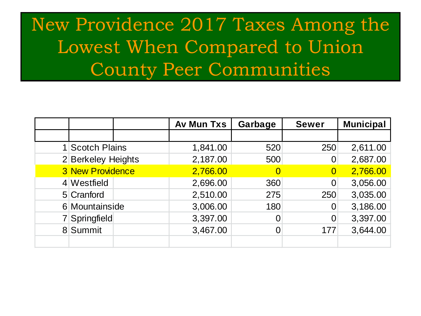#### New Providence 2017 Taxes Among the Lowest When Compared to Union County Peer Communities

|                         | <b>Av Mun Txs</b> | Garbage | <b>Sewer</b>   | <b>Municipal</b> |
|-------------------------|-------------------|---------|----------------|------------------|
|                         |                   |         |                |                  |
| 1 Scotch Plains         | 1,841.00          | 520     | 250            | 2,611.00         |
| 2 Berkeley Heights      | 2,187.00          | 500     | $\overline{0}$ | 2,687.00         |
| <b>3 New Providence</b> | 2,766.00          |         | $\bf{0}$       | 2,766.00         |
| 4 Westfield             | 2,696.00          | 360     | 0              | 3,056.00         |
| 5 Cranford              | 2,510.00          | 275     | 250            | 3,035.00         |
| 6 Mountainside          | 3,006.00          | 180     | $\overline{0}$ | 3,186.00         |
| 7 Springfield           | 3,397.00          |         | 0              | 3,397.00         |
| 8 Summit                | 3,467.00          |         | 177            | 3,644.00         |
|                         |                   |         |                |                  |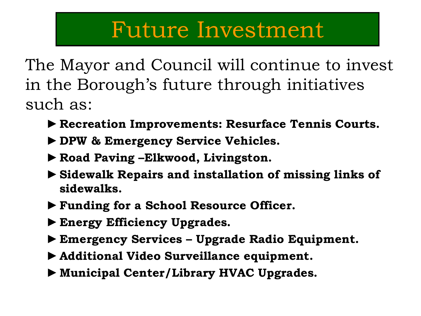#### Future Investment

The Mayor and Council will continue to invest in the Borough's future through initiatives such as:

- ►**Recreation Improvements: Resurface Tennis Courts.**
- ►**DPW & Emergency Service Vehicles.**
- ►**Road Paving –Elkwood, Livingston.**
- ►**Sidewalk Repairs and installation of missing links of sidewalks.**
- ►**Funding for a School Resource Officer.**
- ►**Energy Efficiency Upgrades.**
- ►**Emergency Services – Upgrade Radio Equipment.**
- ►**Additional Video Surveillance equipment.**
- ►**Municipal Center/Library HVAC Upgrades.**